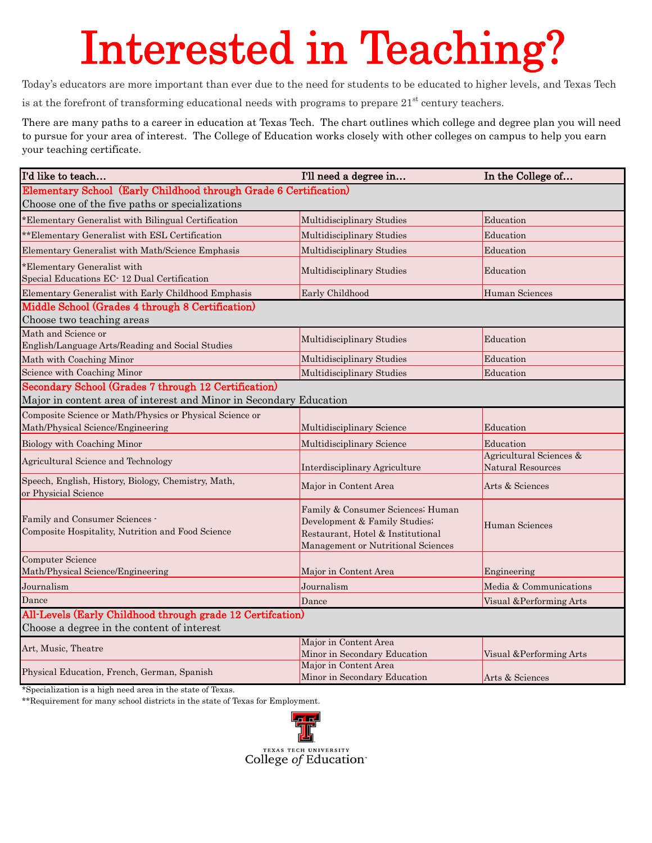## Interested in Teaching?

Today's educators are more important than ever due to the need for students to be educated to higher levels, and Texas Tech

is at the forefront of transforming educational needs with programs to prepare  $21<sup>st</sup>$  century teachers.

There are many paths to a career in education at Texas Tech. The chart outlines which college and degree plan you will need to pursue for your area of interest. The College of Education works closely with other colleges on campus to help you earn your teaching certificate.

| I'd like to teach                                                                                                          | I'll need a degree in                                                                                                                         | In the College of                            |
|----------------------------------------------------------------------------------------------------------------------------|-----------------------------------------------------------------------------------------------------------------------------------------------|----------------------------------------------|
| Elementary School (Early Childhood through Grade 6 Certification)                                                          |                                                                                                                                               |                                              |
| Choose one of the five paths or specializations                                                                            |                                                                                                                                               |                                              |
| *Elementary Generalist with Bilingual Certification                                                                        | Multidisciplinary Studies                                                                                                                     | Education                                    |
| ** Elementary Generalist with ESL Certification                                                                            | Multidisciplinary Studies                                                                                                                     | Education                                    |
| Elementary Generalist with Math/Science Emphasis                                                                           | Multidisciplinary Studies                                                                                                                     | Education                                    |
| *Elementary Generalist with<br>Special Educations EC-12 Dual Certification                                                 | Multidisciplinary Studies                                                                                                                     | Education                                    |
| Elementary Generalist with Early Childhood Emphasis                                                                        | Early Childhood                                                                                                                               | <b>Human Sciences</b>                        |
| Middle School (Grades 4 through 8 Certification)                                                                           |                                                                                                                                               |                                              |
| Choose two teaching areas                                                                                                  |                                                                                                                                               |                                              |
| Math and Science or<br>English/Language Arts/Reading and Social Studies                                                    | Multidisciplinary Studies                                                                                                                     | Education                                    |
| Math with Coaching Minor                                                                                                   | Multidisciplinary Studies                                                                                                                     | Education                                    |
| Science with Coaching Minor                                                                                                | Multidisciplinary Studies                                                                                                                     | Education                                    |
| Secondary School (Grades 7 through 12 Certification)<br>Major in content area of interest and Minor in Secondary Education |                                                                                                                                               |                                              |
| Composite Science or Math/Physics or Physical Science or<br>Math/Physical Science/Engineering                              | Multidisciplinary Science                                                                                                                     | Education                                    |
| Biology with Coaching Minor                                                                                                | Multidisciplinary Science                                                                                                                     | Education                                    |
| Agricultural Science and Technology                                                                                        | Interdisciplinary Agriculture                                                                                                                 | Agricultural Sciences &<br>Natural Resources |
| Speech, English, History, Biology, Chemistry, Math,<br>or Physicial Science                                                | Major in Content Area                                                                                                                         | Arts & Sciences                              |
| Family and Consumer Sciences -<br>Composite Hospitality, Nutrition and Food Science                                        | Family & Consumer Sciences; Human<br>Development & Family Studies;<br>Restaurant, Hotel & Institutional<br>Management or Nutritional Sciences | Human Sciences                               |
| <b>Computer Science</b><br>Math/Physical Science/Engineering                                                               | Major in Content Area                                                                                                                         | Engineering                                  |
| Journalism                                                                                                                 | Journalism                                                                                                                                    | Media & Communications                       |
| Dance                                                                                                                      | Dance                                                                                                                                         | Visual & Performing Arts                     |
| All-Levels (Early Childhood through grade 12 Certifcation)                                                                 |                                                                                                                                               |                                              |
| Choose a degree in the content of interest                                                                                 |                                                                                                                                               |                                              |
| Art, Music, Theatre                                                                                                        | Major in Content Area<br>Minor in Secondary Education                                                                                         | Visual & Performing Arts                     |
| Physical Education, French, German, Spanish                                                                                | Major in Content Area<br>Minor in Secondary Education                                                                                         | Arts & Sciences                              |

\*Specialization is a high need area in the state of Texas.

\*\*Requirement for many school districts in the state of Texas for Employment.